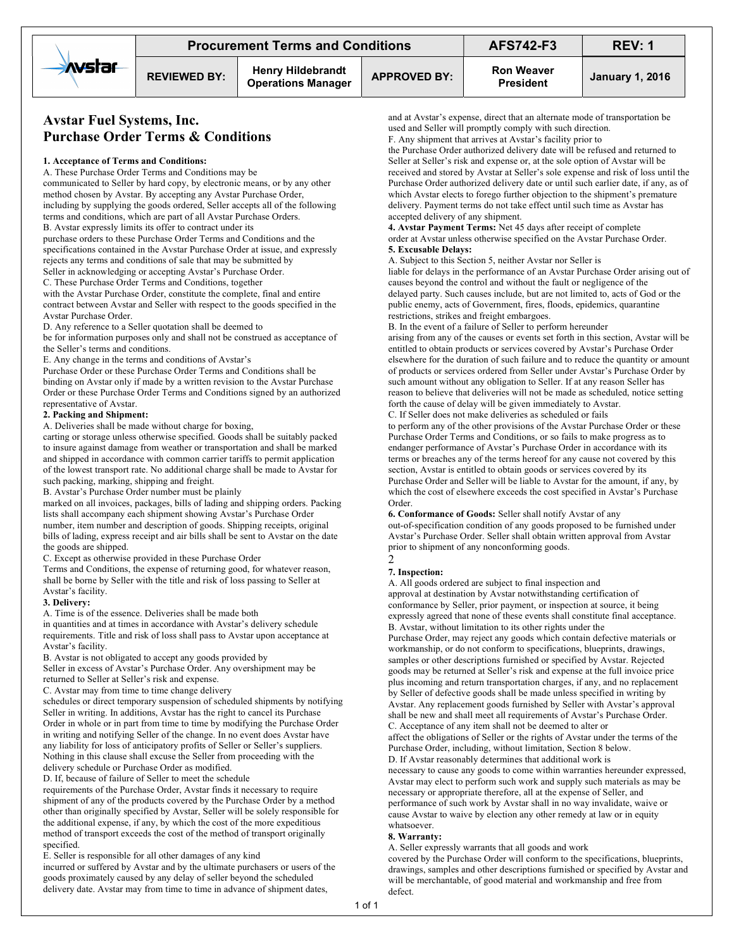# Avstar Fuel Systems, Inc. Purchase Order Terms & Conditions

# 1. Acceptance of Terms and Conditions:

A. These Purchase Order Terms and Conditions may be communicated to Seller by hard copy, by electronic means, or by any other method chosen by Avstar. By accepting any Avstar Purchase Order, including by supplying the goods ordered, Seller accepts all of the following terms and conditions, which are part of all Avstar Purchase Orders.

B. Avstar expressly limits its offer to contract under its

purchase orders to these Purchase Order Terms and Conditions and the specifications contained in the Avstar Purchase Order at issue, and expressly rejects any terms and conditions of sale that may be submitted by Seller in acknowledging or accepting Avstar's Purchase Order.

C. These Purchase Order Terms and Conditions, together

with the Avstar Purchase Order, constitute the complete, final and entire contract between Avstar and Seller with respect to the goods specified in the Avstar Purchase Order.

D. Any reference to a Seller quotation shall be deemed to

be for information purposes only and shall not be construed as acceptance of the Seller's terms and conditions.

E. Any change in the terms and conditions of Avstar's

Purchase Order or these Purchase Order Terms and Conditions shall be binding on Avstar only if made by a written revision to the Avstar Purchase Order or these Purchase Order Terms and Conditions signed by an authorized representative of Avstar.

## 2. Packing and Shipment:

A. Deliveries shall be made without charge for boxing,

carting or storage unless otherwise specified. Goods shall be suitably packed to insure against damage from weather or transportation and shall be marked and shipped in accordance with common carrier tariffs to permit application of the lowest transport rate. No additional charge shall be made to Avstar for such packing, marking, shipping and freight.

B. Avstar's Purchase Order number must be plainly

marked on all invoices, packages, bills of lading and shipping orders. Packing lists shall accompany each shipment showing Avstar's Purchase Order number, item number and description of goods. Shipping receipts, original bills of lading, express receipt and air bills shall be sent to Avstar on the date the goods are shipped.

C. Except as otherwise provided in these Purchase Order

Terms and Conditions, the expense of returning good, for whatever reason, shall be borne by Seller with the title and risk of loss passing to Seller at Avstar's facility.

#### 3. Delivery:

A. Time is of the essence. Deliveries shall be made both

in quantities and at times in accordance with Avstar's delivery schedule requirements. Title and risk of loss shall pass to Avstar upon acceptance at Avstar's facility.

B. Avstar is not obligated to accept any goods provided by Seller in excess of Avstar's Purchase Order. Any overshipment may be

returned to Seller at Seller's risk and expense.

C. Avstar may from time to time change delivery

schedules or direct temporary suspension of scheduled shipments by notifying Seller in writing. In additions, Avstar has the right to cancel its Purchase Order in whole or in part from time to time by modifying the Purchase Order in writing and notifying Seller of the change. In no event does Avstar have any liability for loss of anticipatory profits of Seller or Seller's suppliers. Nothing in this clause shall excuse the Seller from proceeding with the delivery schedule or Purchase Order as modified.

D. If, because of failure of Seller to meet the schedule

requirements of the Purchase Order, Avstar finds it necessary to require shipment of any of the products covered by the Purchase Order by a method other than originally specified by Avstar, Seller will be solely responsible for the additional expense, if any, by which the cost of the more expeditious method of transport exceeds the cost of the method of transport originally specified.

E. Seller is responsible for all other damages of any kind

incurred or suffered by Avstar and by the ultimate purchasers or users of the goods proximately caused by any delay of seller beyond the scheduled delivery date. Avstar may from time to time in advance of shipment dates,

and at Avstar's expense, direct that an alternate mode of transportation be used and Seller will promptly comply with such direction.

F. Any shipment that arrives at Avstar's facility prior to

the Purchase Order authorized delivery date will be refused and returned to Seller at Seller's risk and expense or, at the sole option of Avstar will be received and stored by Avstar at Seller's sole expense and risk of loss until the Purchase Order authorized delivery date or until such earlier date, if any, as of which Avstar elects to forego further objection to the shipment's premature delivery. Payment terms do not take effect until such time as Avstar has accepted delivery of any shipment.

4. Avstar Payment Terms: Net 45 days after receipt of complete order at Avstar unless otherwise specified on the Avstar Purchase Order. 5. Excusable Delays:

A. Subject to this Section 5, neither Avstar nor Seller is

liable for delays in the performance of an Avstar Purchase Order arising out of causes beyond the control and without the fault or negligence of the delayed party. Such causes include, but are not limited to, acts of God or the public enemy, acts of Government, fires, floods, epidemics, quarantine restrictions, strikes and freight embargoes.

B. In the event of a failure of Seller to perform hereunder arising from any of the causes or events set forth in this section, Avstar will be entitled to obtain products or services covered by Avstar's Purchase Order elsewhere for the duration of such failure and to reduce the quantity or amount of products or services ordered from Seller under Avstar's Purchase Order by such amount without any obligation to Seller. If at any reason Seller has reason to believe that deliveries will not be made as scheduled, notice setting forth the cause of delay will be given immediately to Avstar.

C. If Seller does not make deliveries as scheduled or fails

to perform any of the other provisions of the Avstar Purchase Order or these Purchase Order Terms and Conditions, or so fails to make progress as to endanger performance of Avstar's Purchase Order in accordance with its terms or breaches any of the terms hereof for any cause not covered by this section, Avstar is entitled to obtain goods or services covered by its Purchase Order and Seller will be liable to Avstar for the amount, if any, by which the cost of elsewhere exceeds the cost specified in Avstar's Purchase Order.

6. Conformance of Goods: Seller shall notify Avstar of any out-of-specification condition of any goods proposed to be furnished under Avstar's Purchase Order. Seller shall obtain written approval from Avstar prior to shipment of any nonconforming goods.

# 2

7. Inspection:

A. All goods ordered are subject to final inspection and approval at destination by Avstar notwithstanding certification of conformance by Seller, prior payment, or inspection at source, it being expressly agreed that none of these events shall constitute final acceptance. B. Avstar, without limitation to its other rights under the

Purchase Order, may reject any goods which contain defective materials or workmanship, or do not conform to specifications, blueprints, drawings, samples or other descriptions furnished or specified by Avstar. Rejected goods may be returned at Seller's risk and expense at the full invoice price plus incoming and return transportation charges, if any, and no replacement by Seller of defective goods shall be made unless specified in writing by Avstar. Any replacement goods furnished by Seller with Avstar's approval shall be new and shall meet all requirements of Avstar's Purchase Order. C. Acceptance of any item shall not be deemed to alter or affect the obligations of Seller or the rights of Avstar under the terms of the Purchase Order, including, without limitation, Section 8 below. D. If Avstar reasonably determines that additional work is necessary to cause any goods to come within warranties hereunder expressed, Avstar may elect to perform such work and supply such materials as may be

necessary or appropriate therefore, all at the expense of Seller, and performance of such work by Avstar shall in no way invalidate, waive or cause Avstar to waive by election any other remedy at law or in equity whatsoever.

## 8. Warranty:

A. Seller expressly warrants that all goods and work

covered by the Purchase Order will conform to the specifications, blueprints, drawings, samples and other descriptions furnished or specified by Avstar and will be merchantable, of good material and workmanship and free from defect.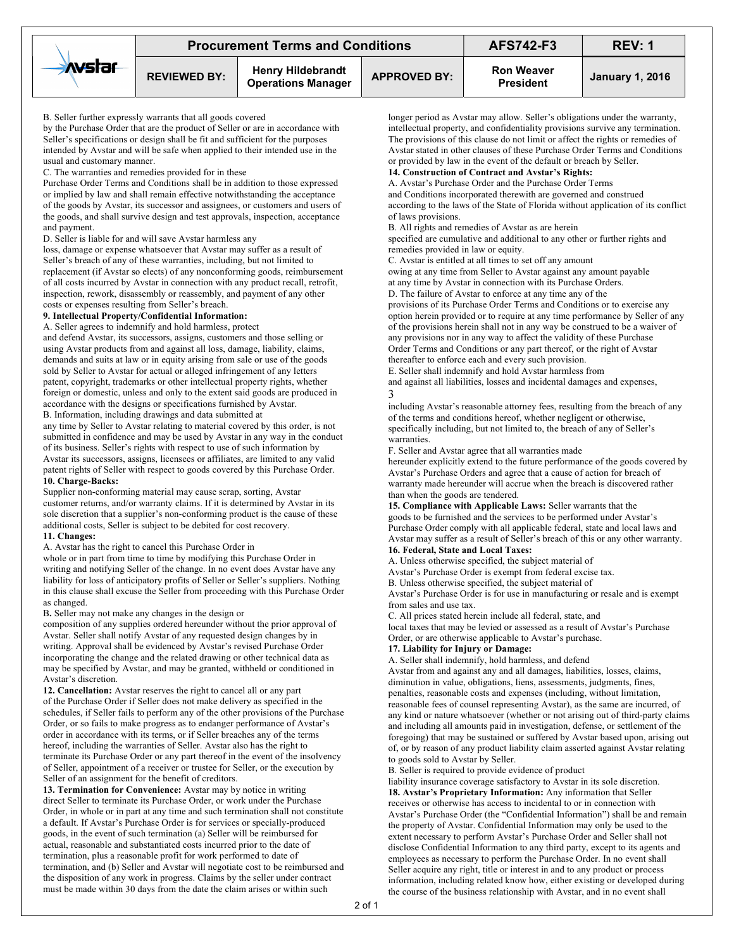| <b>XVstar</b> | <b>Procurement Terms and Conditions</b> |                                                       |                     | <b>AFS742-F3</b>                      | REV: 1                 |
|---------------|-----------------------------------------|-------------------------------------------------------|---------------------|---------------------------------------|------------------------|
|               | <b>REVIEWED BY:</b>                     | <b>Henry Hildebrandt</b><br><b>Operations Manager</b> | <b>APPROVED BY:</b> | <b>Ron Weaver</b><br><b>President</b> | <b>January 1, 2016</b> |

B. Seller further expressly warrants that all goods covered

by the Purchase Order that are the product of Seller or are in accordance with Seller's specifications or design shall be fit and sufficient for the purposes intended by Avstar and will be safe when applied to their intended use in the usual and customary manner.

C. The warranties and remedies provided for in these

Purchase Order Terms and Conditions shall be in addition to those expressed or implied by law and shall remain effective notwithstanding the acceptance of the goods by Avstar, its successor and assignees, or customers and users of the goods, and shall survive design and test approvals, inspection, acceptance and payment.

D. Seller is liable for and will save Avstar harmless any

loss, damage or expense whatsoever that Avstar may suffer as a result of Seller's breach of any of these warranties, including, but not limited to replacement (if Avstar so elects) of any nonconforming goods, reimbursement of all costs incurred by Avstar in connection with any product recall, retrofit, inspection, rework, disassembly or reassembly, and payment of any other costs or expenses resulting from Seller's breach.

#### 9. Intellectual Property/Confidential Information:

A. Seller agrees to indemnify and hold harmless, protect

and defend Avstar, its successors, assigns, customers and those selling or using Avstar products from and against all loss, damage, liability, claims, demands and suits at law or in equity arising from sale or use of the goods sold by Seller to Avstar for actual or alleged infringement of any letters patent, copyright, trademarks or other intellectual property rights, whether foreign or domestic, unless and only to the extent said goods are produced in accordance with the designs or specifications furnished by Avstar. B. Information, including drawings and data submitted at

any time by Seller to Avstar relating to material covered by this order, is not submitted in confidence and may be used by Avstar in any way in the conduct of its business. Seller's rights with respect to use of such information by Avstar its successors, assigns, licensees or affiliates, are limited to any valid patent rights of Seller with respect to goods covered by this Purchase Order. 10. Charge-Backs:

Supplier non-conforming material may cause scrap, sorting, Avstar customer returns, and/or warranty claims. If it is determined by Avstar in its sole discretion that a supplier's non-conforming product is the cause of these additional costs, Seller is subject to be debited for cost recovery. 11. Changes:

A. Avstar has the right to cancel this Purchase Order in

whole or in part from time to time by modifying this Purchase Order in writing and notifying Seller of the change. In no event does Avstar have any liability for loss of anticipatory profits of Seller or Seller's suppliers. Nothing in this clause shall excuse the Seller from proceeding with this Purchase Order as changed.

#### B. Seller may not make any changes in the design or

composition of any supplies ordered hereunder without the prior approval of Avstar. Seller shall notify Avstar of any requested design changes by in writing. Approval shall be evidenced by Avstar's revised Purchase Order incorporating the change and the related drawing or other technical data as may be specified by Avstar, and may be granted, withheld or conditioned in Avstar's discretion.

12. Cancellation: Avstar reserves the right to cancel all or any part of the Purchase Order if Seller does not make delivery as specified in the schedules, if Seller fails to perform any of the other provisions of the Purchase Order, or so fails to make progress as to endanger performance of Avstar's order in accordance with its terms, or if Seller breaches any of the terms hereof, including the warranties of Seller. Avstar also has the right to terminate its Purchase Order or any part thereof in the event of the insolvency of Seller, appointment of a receiver or trustee for Seller, or the execution by Seller of an assignment for the benefit of creditors.

13. Termination for Convenience: Avstar may by notice in writing direct Seller to terminate its Purchase Order, or work under the Purchase Order, in whole or in part at any time and such termination shall not constitute a default. If Avstar's Purchase Order is for services or specially-produced goods, in the event of such termination (a) Seller will be reimbursed for actual, reasonable and substantiated costs incurred prior to the date of termination, plus a reasonable profit for work performed to date of termination, and (b) Seller and Avstar will negotiate cost to be reimbursed and the disposition of any work in progress. Claims by the seller under contract must be made within 30 days from the date the claim arises or within such

longer period as Avstar may allow. Seller's obligations under the warranty, intellectual property, and confidentiality provisions survive any termination. The provisions of this clause do not limit or affect the rights or remedies of Avstar stated in other clauses of these Purchase Order Terms and Conditions or provided by law in the event of the default or breach by Seller.

# 14. Construction of Contract and Avstar's Rights:

A. Avstar's Purchase Order and the Purchase Order Terms and Conditions incorporated therewith are governed and construed according to the laws of the State of Florida without application of its conflict of laws provisions.

B. All rights and remedies of Avstar as are herein

specified are cumulative and additional to any other or further rights and remedies provided in law or equity.

C. Avstar is entitled at all times to set off any amount

owing at any time from Seller to Avstar against any amount payable at any time by Avstar in connection with its Purchase Orders. D. The failure of Avstar to enforce at any time any of the

provisions of its Purchase Order Terms and Conditions or to exercise any option herein provided or to require at any time performance by Seller of any of the provisions herein shall not in any way be construed to be a waiver of any provisions nor in any way to affect the validity of these Purchase Order Terms and Conditions or any part thereof, or the right of Avstar thereafter to enforce each and every such provision.

E. Seller shall indemnify and hold Avstar harmless from

and against all liabilities, losses and incidental damages and expenses, 3

including Avstar's reasonable attorney fees, resulting from the breach of any of the terms and conditions hereof, whether negligent or otherwise, specifically including, but not limited to, the breach of any of Seller's warranties.

F. Seller and Avstar agree that all warranties made

hereunder explicitly extend to the future performance of the goods covered by Avstar's Purchase Orders and agree that a cause of action for breach of warranty made hereunder will accrue when the breach is discovered rather than when the goods are tendered.

15. Compliance with Applicable Laws: Seller warrants that the goods to be furnished and the services to be performed under Avstar's Purchase Order comply with all applicable federal, state and local laws and Avstar may suffer as a result of Seller's breach of this or any other warranty. 16. Federal, State and Local Taxes:

A. Unless otherwise specified, the subject material of

Avstar's Purchase Order is exempt from federal excise tax.

B. Unless otherwise specified, the subject material of

Avstar's Purchase Order is for use in manufacturing or resale and is exempt from sales and use tax.

C. All prices stated herein include all federal, state, and local taxes that may be levied or assessed as a result of Avstar's Purchase Order, or are otherwise applicable to Avstar's purchase.

# 17. Liability for Injury or Damage:

A. Seller shall indemnify, hold harmless, and defend Avstar from and against any and all damages, liabilities, losses, claims, diminution in value, obligations, liens, assessments, judgments, fines, penalties, reasonable costs and expenses (including, without limitation, reasonable fees of counsel representing Avstar), as the same are incurred, of any kind or nature whatsoever (whether or not arising out of third-party claims and including all amounts paid in investigation, defense, or settlement of the foregoing) that may be sustained or suffered by Avstar based upon, arising out of, or by reason of any product liability claim asserted against Avstar relating to goods sold to Avstar by Seller.

B. Seller is required to provide evidence of product

liability insurance coverage satisfactory to Avstar in its sole discretion. 18. Avstar's Proprietary Information: Any information that Seller receives or otherwise has access to incidental to or in connection with Avstar's Purchase Order (the "Confidential Information") shall be and remain the property of Avstar. Confidential Information may only be used to the extent necessary to perform Avstar's Purchase Order and Seller shall not disclose Confidential Information to any third party, except to its agents and employees as necessary to perform the Purchase Order. In no event shall Seller acquire any right, title or interest in and to any product or process information, including related know how, either existing or developed during the course of the business relationship with Avstar, and in no event shall